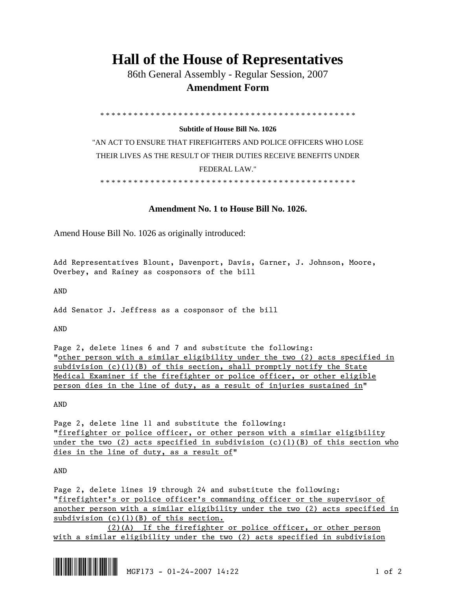## **Hall of the House of Representatives**

 86th General Assembly - Regular Session, 2007  **Amendment Form** 

\* \* \* \* \* \* \* \* \* \* \* \* \* \* \* \* \* \* \* \* \* \* \* \* \* \* \* \* \* \* \* \* \* \* \* \* \* \* \* \* \* \* \* \* \* \*

## **Subtitle of House Bill No. 1026**

"AN ACT TO ENSURE THAT FIREFIGHTERS AND POLICE OFFICERS WHO LOSE THEIR LIVES AS THE RESULT OF THEIR DUTIES RECEIVE BENEFITS UNDER FEDERAL LAW."

\* \* \* \* \* \* \* \* \* \* \* \* \* \* \* \* \* \* \* \* \* \* \* \* \* \* \* \* \* \* \* \* \* \* \* \* \* \* \* \* \* \* \* \* \* \*

## **Amendment No. 1 to House Bill No. 1026.**

Amend House Bill No. 1026 as originally introduced:

Add Representatives Blount, Davenport, Davis, Garner, J. Johnson, Moore, Overbey, and Rainey as cosponsors of the bill

AND

Add Senator J. Jeffress as a cosponsor of the bill

AND

Page 2, delete lines 6 and 7 and substitute the following: "other person with a similar eligibility under the two (2) acts specified in subdivision  $(c)(1)(B)$  of this section, shall promptly notify the State Medical Examiner if the firefighter or police officer, or other eligible person dies in the line of duty, as a result of injuries sustained in"

AND

Page 2, delete line 11 and substitute the following: "firefighter or police officer, or other person with a similar eligibility under the two (2) acts specified in subdivision (c)(1)(B) of this section who dies in the line of duty, as a result of"

AND

Page 2, delete lines 19 through 24 and substitute the following: "firefighter's or police officer's commanding officer or the supervisor of another person with a similar eligibility under the two (2) acts specified in subdivision (c)(1)(B) of this section.

 (2)(A) If the firefighter or police officer, or other person with a similar eligibility under the two (2) acts specified in subdivision